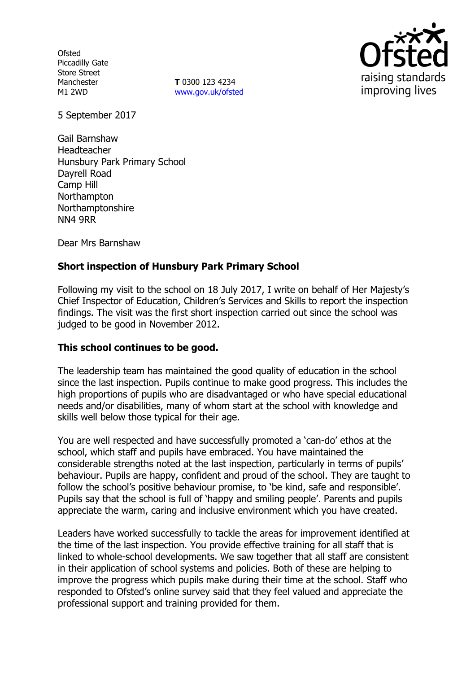**Ofsted** Piccadilly Gate Store Street Manchester M1 2WD

**T** 0300 123 4234 www.gov.uk/ofsted



5 September 2017

Gail Barnshaw Headteacher Hunsbury Park Primary School Dayrell Road Camp Hill Northampton Northamptonshire NN4 9RR

Dear Mrs Barnshaw

## **Short inspection of Hunsbury Park Primary School**

Following my visit to the school on 18 July 2017, I write on behalf of Her Majesty's Chief Inspector of Education, Children's Services and Skills to report the inspection findings. The visit was the first short inspection carried out since the school was judged to be good in November 2012.

### **This school continues to be good.**

The leadership team has maintained the good quality of education in the school since the last inspection. Pupils continue to make good progress. This includes the high proportions of pupils who are disadvantaged or who have special educational needs and/or disabilities, many of whom start at the school with knowledge and skills well below those typical for their age.

You are well respected and have successfully promoted a 'can-do' ethos at the school, which staff and pupils have embraced. You have maintained the considerable strengths noted at the last inspection, particularly in terms of pupils' behaviour. Pupils are happy, confident and proud of the school. They are taught to follow the school's positive behaviour promise, to 'be kind, safe and responsible'. Pupils say that the school is full of 'happy and smiling people'. Parents and pupils appreciate the warm, caring and inclusive environment which you have created.

Leaders have worked successfully to tackle the areas for improvement identified at the time of the last inspection. You provide effective training for all staff that is linked to whole-school developments. We saw together that all staff are consistent in their application of school systems and policies. Both of these are helping to improve the progress which pupils make during their time at the school. Staff who responded to Ofsted's online survey said that they feel valued and appreciate the professional support and training provided for them.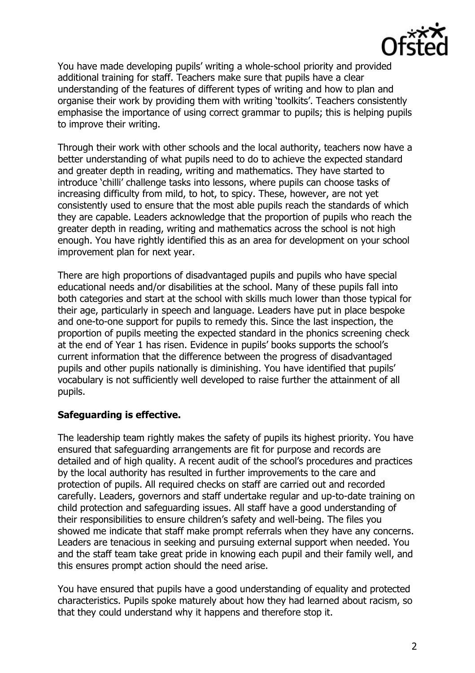

You have made developing pupils' writing a whole-school priority and provided additional training for staff. Teachers make sure that pupils have a clear understanding of the features of different types of writing and how to plan and organise their work by providing them with writing 'toolkits'. Teachers consistently emphasise the importance of using correct grammar to pupils; this is helping pupils to improve their writing.

Through their work with other schools and the local authority, teachers now have a better understanding of what pupils need to do to achieve the expected standard and greater depth in reading, writing and mathematics. They have started to introduce 'chilli' challenge tasks into lessons, where pupils can choose tasks of increasing difficulty from mild, to hot, to spicy. These, however, are not yet consistently used to ensure that the most able pupils reach the standards of which they are capable. Leaders acknowledge that the proportion of pupils who reach the greater depth in reading, writing and mathematics across the school is not high enough. You have rightly identified this as an area for development on your school improvement plan for next year.

There are high proportions of disadvantaged pupils and pupils who have special educational needs and/or disabilities at the school. Many of these pupils fall into both categories and start at the school with skills much lower than those typical for their age, particularly in speech and language. Leaders have put in place bespoke and one-to-one support for pupils to remedy this. Since the last inspection, the proportion of pupils meeting the expected standard in the phonics screening check at the end of Year 1 has risen. Evidence in pupils' books supports the school's current information that the difference between the progress of disadvantaged pupils and other pupils nationally is diminishing. You have identified that pupils' vocabulary is not sufficiently well developed to raise further the attainment of all pupils.

# **Safeguarding is effective.**

The leadership team rightly makes the safety of pupils its highest priority. You have ensured that safeguarding arrangements are fit for purpose and records are detailed and of high quality. A recent audit of the school's procedures and practices by the local authority has resulted in further improvements to the care and protection of pupils. All required checks on staff are carried out and recorded carefully. Leaders, governors and staff undertake regular and up-to-date training on child protection and safeguarding issues. All staff have a good understanding of their responsibilities to ensure children's safety and well-being. The files you showed me indicate that staff make prompt referrals when they have any concerns. Leaders are tenacious in seeking and pursuing external support when needed. You and the staff team take great pride in knowing each pupil and their family well, and this ensures prompt action should the need arise.

You have ensured that pupils have a good understanding of equality and protected characteristics. Pupils spoke maturely about how they had learned about racism, so that they could understand why it happens and therefore stop it.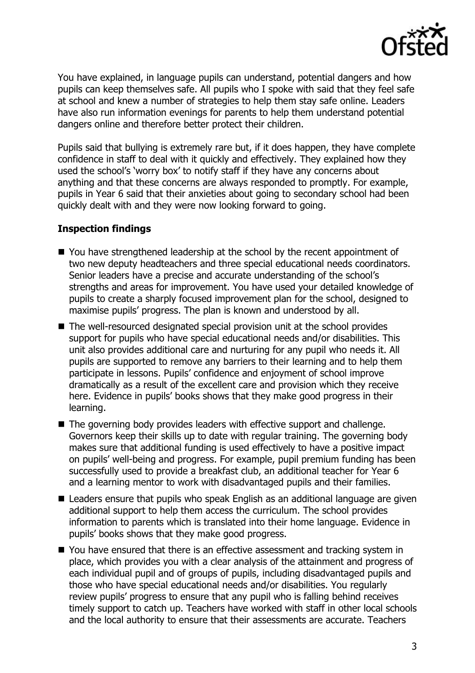

You have explained, in language pupils can understand, potential dangers and how pupils can keep themselves safe. All pupils who I spoke with said that they feel safe at school and knew a number of strategies to help them stay safe online. Leaders have also run information evenings for parents to help them understand potential dangers online and therefore better protect their children.

Pupils said that bullying is extremely rare but, if it does happen, they have complete confidence in staff to deal with it quickly and effectively. They explained how they used the school's 'worry box' to notify staff if they have any concerns about anything and that these concerns are always responded to promptly. For example, pupils in Year 6 said that their anxieties about going to secondary school had been quickly dealt with and they were now looking forward to going.

#### **Inspection findings**

- You have strengthened leadership at the school by the recent appointment of two new deputy headteachers and three special educational needs coordinators. Senior leaders have a precise and accurate understanding of the school's strengths and areas for improvement. You have used your detailed knowledge of pupils to create a sharply focused improvement plan for the school, designed to maximise pupils' progress. The plan is known and understood by all.
- The well-resourced designated special provision unit at the school provides support for pupils who have special educational needs and/or disabilities. This unit also provides additional care and nurturing for any pupil who needs it. All pupils are supported to remove any barriers to their learning and to help them participate in lessons. Pupils' confidence and enjoyment of school improve dramatically as a result of the excellent care and provision which they receive here. Evidence in pupils' books shows that they make good progress in their learning.
- The governing body provides leaders with effective support and challenge. Governors keep their skills up to date with regular training. The governing body makes sure that additional funding is used effectively to have a positive impact on pupils' well-being and progress. For example, pupil premium funding has been successfully used to provide a breakfast club, an additional teacher for Year 6 and a learning mentor to work with disadvantaged pupils and their families.
- Leaders ensure that pupils who speak English as an additional language are given additional support to help them access the curriculum. The school provides information to parents which is translated into their home language. Evidence in pupils' books shows that they make good progress.
- You have ensured that there is an effective assessment and tracking system in place, which provides you with a clear analysis of the attainment and progress of each individual pupil and of groups of pupils, including disadvantaged pupils and those who have special educational needs and/or disabilities. You regularly review pupils' progress to ensure that any pupil who is falling behind receives timely support to catch up. Teachers have worked with staff in other local schools and the local authority to ensure that their assessments are accurate. Teachers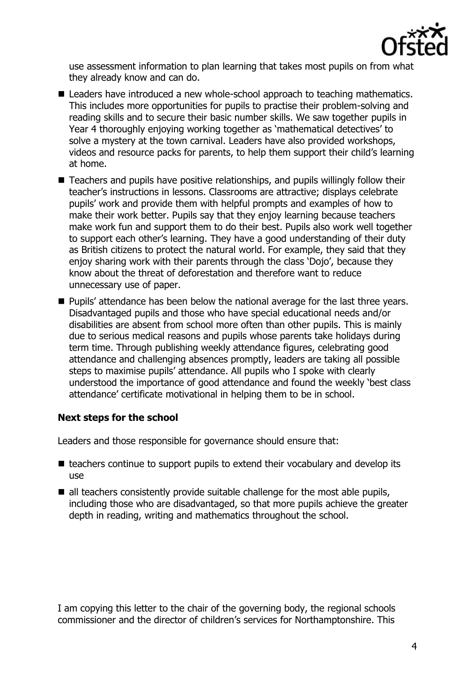

use assessment information to plan learning that takes most pupils on from what they already know and can do.

- Leaders have introduced a new whole-school approach to teaching mathematics. This includes more opportunities for pupils to practise their problem-solving and reading skills and to secure their basic number skills. We saw together pupils in Year 4 thoroughly enjoying working together as 'mathematical detectives' to solve a mystery at the town carnival. Leaders have also provided workshops, videos and resource packs for parents, to help them support their child's learning at home.
- Teachers and pupils have positive relationships, and pupils willingly follow their teacher's instructions in lessons. Classrooms are attractive; displays celebrate pupils' work and provide them with helpful prompts and examples of how to make their work better. Pupils say that they enjoy learning because teachers make work fun and support them to do their best. Pupils also work well together to support each other's learning. They have a good understanding of their duty as British citizens to protect the natural world. For example, they said that they enjoy sharing work with their parents through the class 'Dojo', because they know about the threat of deforestation and therefore want to reduce unnecessary use of paper.
- **Pupils' attendance has been below the national average for the last three years.** Disadvantaged pupils and those who have special educational needs and/or disabilities are absent from school more often than other pupils. This is mainly due to serious medical reasons and pupils whose parents take holidays during term time. Through publishing weekly attendance figures, celebrating good attendance and challenging absences promptly, leaders are taking all possible steps to maximise pupils' attendance. All pupils who I spoke with clearly understood the importance of good attendance and found the weekly 'best class attendance' certificate motivational in helping them to be in school.

# **Next steps for the school**

Leaders and those responsible for governance should ensure that:

- $\blacksquare$  teachers continue to support pupils to extend their vocabulary and develop its use
- $\blacksquare$  all teachers consistently provide suitable challenge for the most able pupils, including those who are disadvantaged, so that more pupils achieve the greater depth in reading, writing and mathematics throughout the school.

I am copying this letter to the chair of the governing body, the regional schools commissioner and the director of children's services for Northamptonshire. This